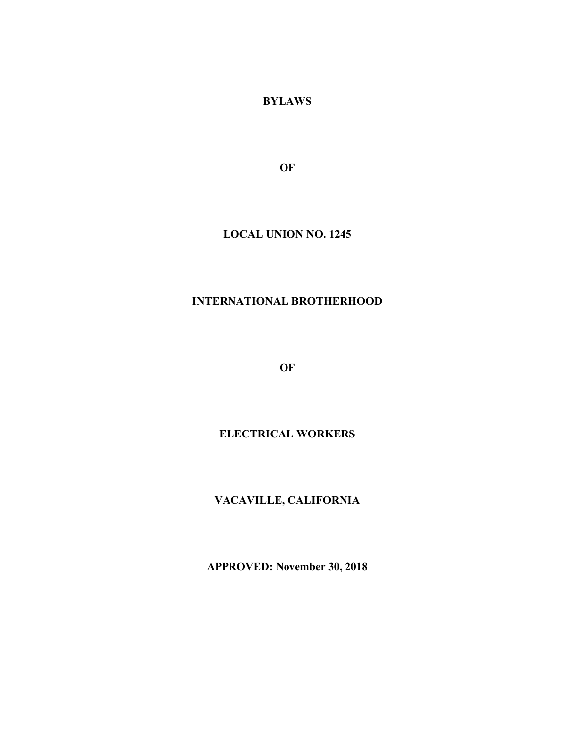**BYLAWS**

**OF**

## **LOCAL UNION NO. 1245**

# **INTERNATIONAL BROTHERHOOD**

**OF**

# **ELECTRICAL WORKERS**

# **VACAVILLE, CALIFORNIA**

**APPROVED: November 30, 2018**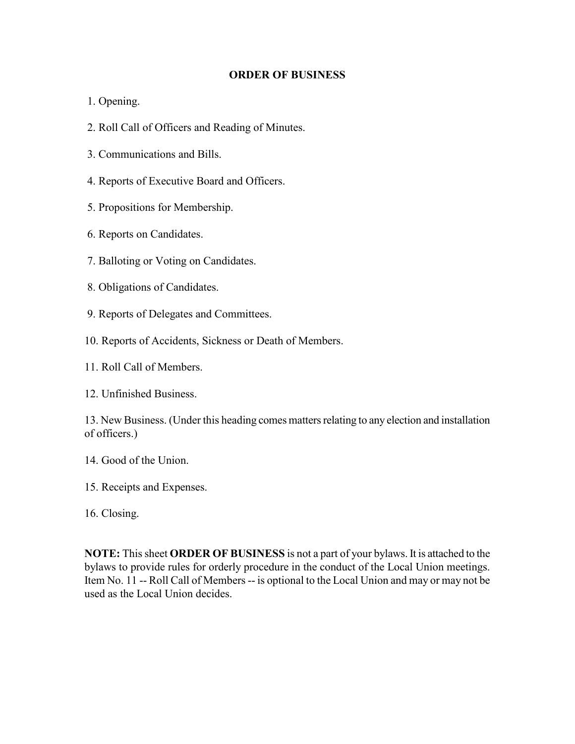#### **ORDER OF BUSINESS**

- 1. Opening.
- 2. Roll Call of Officers and Reading of Minutes.
- 3. Communications and Bills.
- 4. Reports of Executive Board and Officers.
- 5. Propositions for Membership.
- 6. Reports on Candidates.
- 7. Balloting or Voting on Candidates.
- 8. Obligations of Candidates.
- 9. Reports of Delegates and Committees.
- 10. Reports of Accidents, Sickness or Death of Members.
- 11. Roll Call of Members.

12. Unfinished Business.

13. New Business. (Under this heading comes matters relating to any election and installation of officers.)

- 14. Good of the Union.
- 15. Receipts and Expenses.
- 16. Closing.

**NOTE:** This sheet **ORDER OF BUSINESS** is not a part of your bylaws. It is attached to the bylaws to provide rules for orderly procedure in the conduct of the Local Union meetings. Item No. 11 -- Roll Call of Members -- is optional to the Local Union and may or may not be used as the Local Union decides.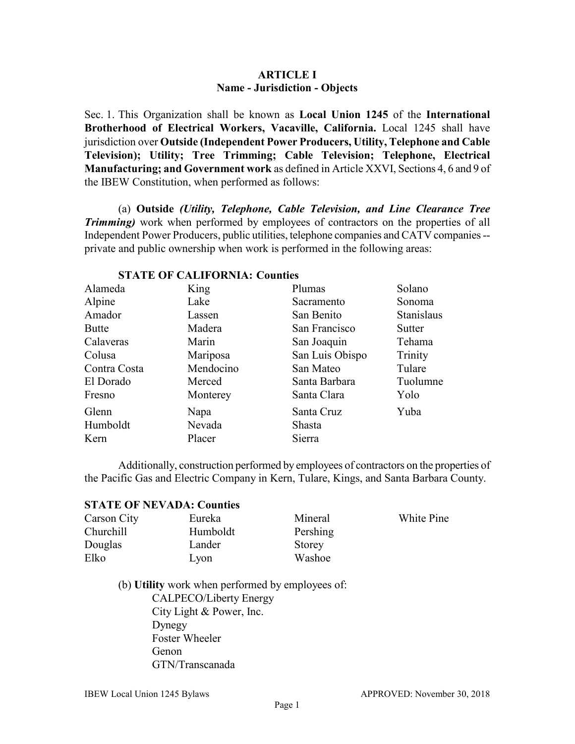### **ARTICLE I Name - Jurisdiction - Objects**

Sec. 1. This Organization shall be known as **Local Union 1245** of the **International Brotherhood of Electrical Workers, Vacaville, California.** Local 1245 shall have jurisdiction over **Outside (Independent Power Producers, Utility, Telephone and Cable Television); Utility; Tree Trimming; Cable Television; Telephone, Electrical Manufacturing; and Government work** as defined in Article XXVI, Sections 4, 6 and 9 of the IBEW Constitution, when performed as follows:

(a) **Outside** *(Utility, Telephone, Cable Television, and Line Clearance Tree Trimming* work when performed by employees of contractors on the properties of all Independent Power Producers, public utilities, telephone companies and CATV companies - private and public ownership when work is performed in the following areas:

| Alameda      | King      | Plumas          | Solano            |
|--------------|-----------|-----------------|-------------------|
| Alpine       | Lake      | Sacramento      | Sonoma            |
| Amador       | Lassen    | San Benito      | <b>Stanislaus</b> |
| <b>Butte</b> | Madera    | San Francisco   | <b>Sutter</b>     |
| Calaveras    | Marin     | San Joaquin     | Tehama            |
| Colusa       | Mariposa  | San Luis Obispo | Trinity           |
| Contra Costa | Mendocino | San Mateo       | Tulare            |
| El Dorado    | Merced    | Santa Barbara   | Tuolumne          |
| Fresno       | Monterey  | Santa Clara     | Yolo              |
| Glenn        | Napa      | Santa Cruz      | Yuba              |
| Humboldt     | Nevada    | Shasta          |                   |
| Kern         | Placer    | Sierra          |                   |

#### **STATE OF CALIFORNIA: Counties**

Additionally, construction performed by employees of contractors on the properties of the Pacific Gas and Electric Company in Kern, Tulare, Kings, and Santa Barbara County.

#### **STATE OF NEVADA: Counties**

| Carson City | Eureka   | Mineral  | <b>White Pine</b> |
|-------------|----------|----------|-------------------|
| Churchill   | Humboldt | Pershing |                   |
| Douglas     | Lander   | Storey   |                   |
| Elko        | Lvon     | Washoe   |                   |

(b) **Utility** work when performed by employees of: CALPECO/Liberty Energy City Light & Power, Inc. Dynegy Foster Wheeler Genon GTN/Transcanada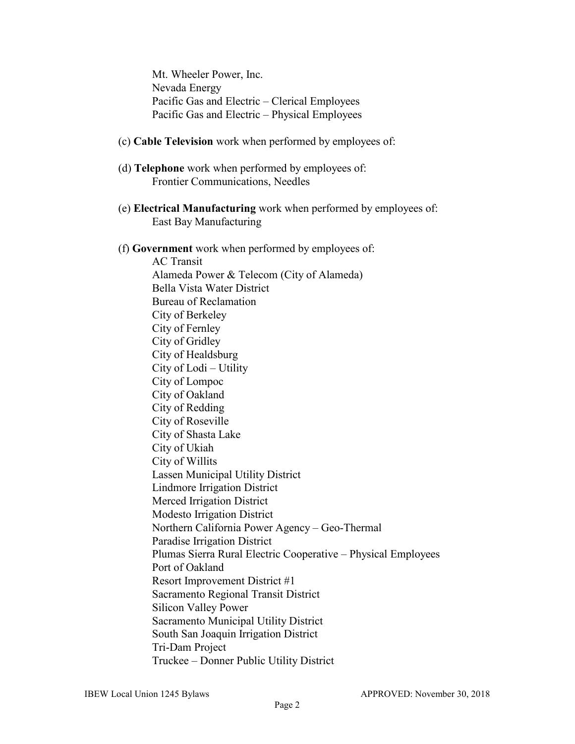Mt. Wheeler Power, Inc. Nevada Energy Pacific Gas and Electric – Clerical Employees Pacific Gas and Electric – Physical Employees

### (c) **Cable Television** work when performed by employees of:

- (d) **Telephone** work when performed by employees of: Frontier Communications, Needles
- (e) **Electrical Manufacturing** work when performed by employees of: East Bay Manufacturing
- (f) **Government** work when performed by employees of:

AC Transit Alameda Power & Telecom (City of Alameda) Bella Vista Water District Bureau of Reclamation City of Berkeley City of Fernley City of Gridley City of Healdsburg City of Lodi – Utility City of Lompoc City of Oakland City of Redding City of Roseville City of Shasta Lake City of Ukiah City of Willits Lassen Municipal Utility District Lindmore Irrigation District Merced Irrigation District Modesto Irrigation District Northern California Power Agency – Geo-Thermal Paradise Irrigation District Plumas Sierra Rural Electric Cooperative – Physical Employees Port of Oakland Resort Improvement District #1 Sacramento Regional Transit District Silicon Valley Power Sacramento Municipal Utility District South San Joaquin Irrigation District Tri-Dam Project Truckee – Donner Public Utility District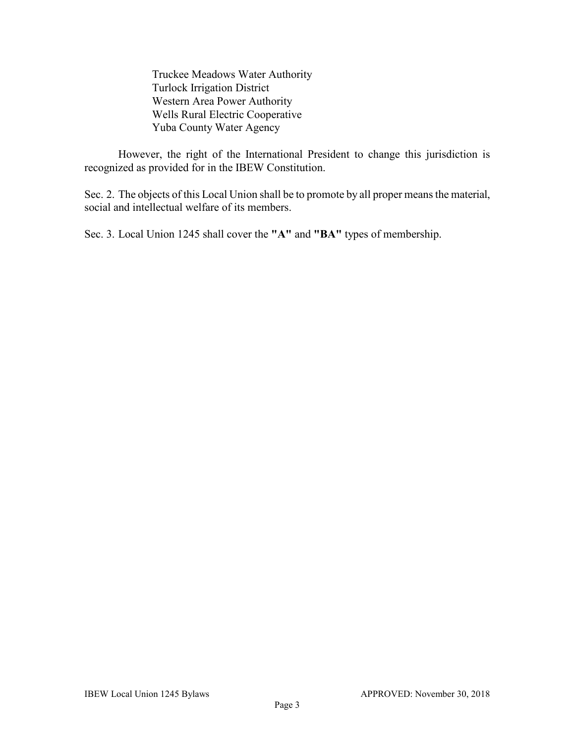Truckee Meadows Water Authority Turlock Irrigation District Western Area Power Authority Wells Rural Electric Cooperative Yuba County Water Agency

However, the right of the International President to change this jurisdiction is recognized as provided for in the IBEW Constitution.

Sec. 2. The objects of this Local Union shall be to promote by all proper means the material, social and intellectual welfare of its members.

Sec. 3. Local Union 1245 shall cover the **"A"** and **"BA"** types of membership.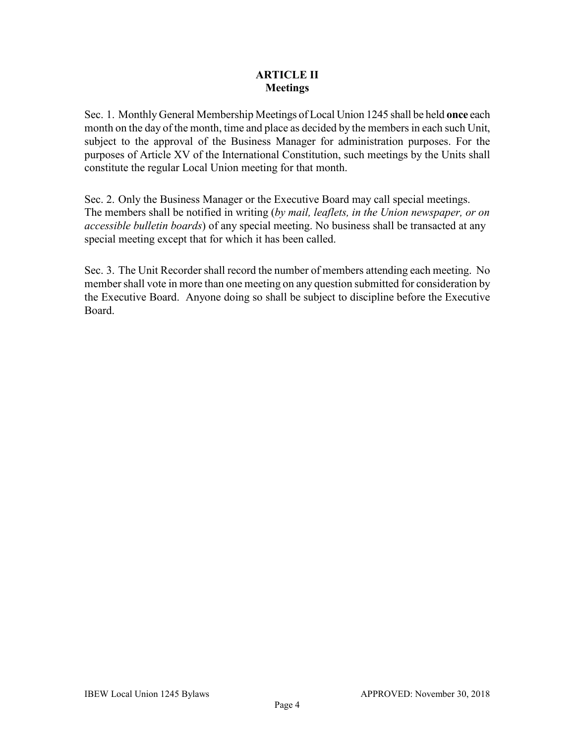### **ARTICLE II Meetings**

Sec. 1. Monthly General Membership Meetings of Local Union 1245 shall be held **once** each month on the day of the month, time and place as decided by the members in each such Unit, subject to the approval of the Business Manager for administration purposes. For the purposes of Article XV of the International Constitution, such meetings by the Units shall constitute the regular Local Union meeting for that month.

Sec. 2. Only the Business Manager or the Executive Board may call special meetings. The members shall be notified in writing (*by mail, leaflets, in the Union newspaper, or on accessible bulletin boards*) of any special meeting. No business shall be transacted at any special meeting except that for which it has been called.

Sec. 3. The Unit Recorder shall record the number of members attending each meeting. No member shall vote in more than one meeting on any question submitted for consideration by the Executive Board. Anyone doing so shall be subject to discipline before the Executive Board.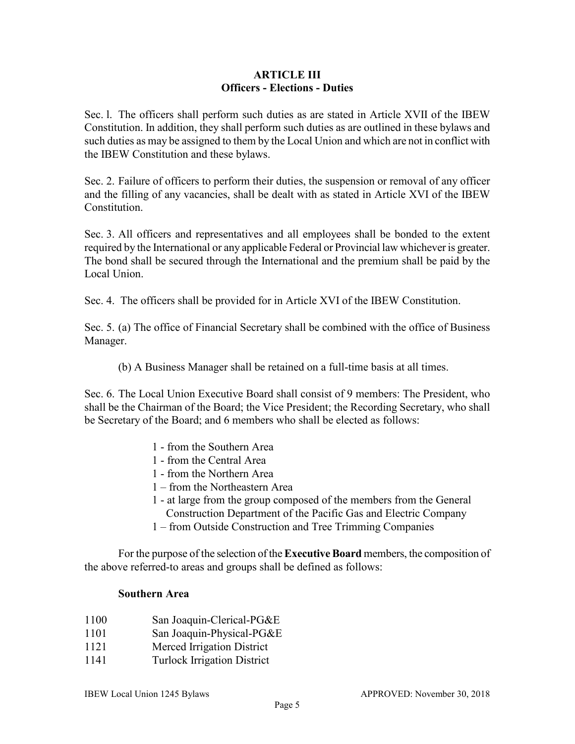### **ARTICLE III Officers - Elections - Duties**

Sec. l. The officers shall perform such duties as are stated in Article XVII of the IBEW Constitution. In addition, they shall perform such duties as are outlined in these bylaws and such duties as may be assigned to them by the Local Union and which are not in conflict with the IBEW Constitution and these bylaws.

Sec. 2. Failure of officers to perform their duties, the suspension or removal of any officer and the filling of any vacancies, shall be dealt with as stated in Article XVI of the IBEW Constitution.

Sec. 3. All officers and representatives and all employees shall be bonded to the extent required by the International or any applicable Federal or Provincial law whichever is greater. The bond shall be secured through the International and the premium shall be paid by the Local Union.

Sec. 4. The officers shall be provided for in Article XVI of the IBEW Constitution.

Sec. 5. (a) The office of Financial Secretary shall be combined with the office of Business Manager.

(b) A Business Manager shall be retained on a full-time basis at all times.

Sec. 6. The Local Union Executive Board shall consist of 9 members: The President, who shall be the Chairman of the Board; the Vice President; the Recording Secretary, who shall be Secretary of the Board; and 6 members who shall be elected as follows:

- 1 from the Southern Area
- 1 from the Central Area
- 1 from the Northern Area
- 1 from the Northeastern Area
- 1 at large from the group composed of the members from the General Construction Department of the Pacific Gas and Electric Company
- 1 from Outside Construction and Tree Trimming Companies

For the purpose of the selection of the **Executive Board** members, the composition of the above referred-to areas and groups shall be defined as follows:

#### **Southern Area**

- 1100 San Joaquin-Clerical-PG&E
- 1101 San Joaquin-Physical-PG&E
- 1121 Merced Irrigation District
- 1141 Turlock Irrigation District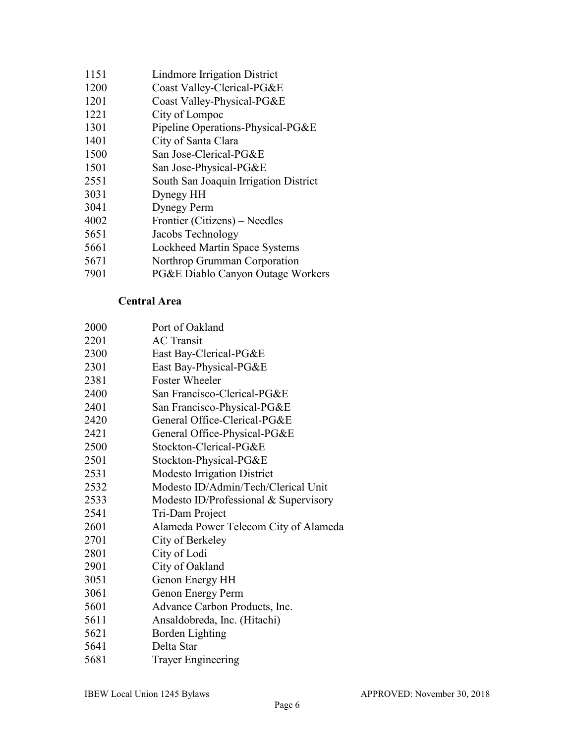- Lindmore Irrigation District
- Coast Valley-Clerical-PG&E
- Coast Valley-Physical-PG&E
- City of Lompoc
- Pipeline Operations-Physical-PG&E
- City of Santa Clara
- San Jose-Clerical-PG&E
- San Jose-Physical-PG&E
- South San Joaquin Irrigation District
- Dynegy HH
- Dynegy Perm
- Frontier (Citizens) Needles
- Jacobs Technology
- Lockheed Martin Space Systems
- Northrop Grumman Corporation
- PG&E Diablo Canyon Outage Workers

### **Central Area**

| 2000 | Port of Oakland                       |
|------|---------------------------------------|
| 2201 | <b>AC</b> Transit                     |
| 2300 | East Bay-Clerical-PG&E                |
| 2301 | East Bay-Physical-PG&E                |
| 2381 | <b>Foster Wheeler</b>                 |
| 2400 | San Francisco-Clerical-PG&E           |
| 2401 | San Francisco-Physical-PG&E           |
| 2420 | General Office-Clerical-PG&E          |
| 2421 | General Office-Physical-PG&E          |
| 2500 | Stockton-Clerical-PG&E                |
| 2501 | Stockton-Physical-PG&E                |
| 2531 | <b>Modesto Irrigation District</b>    |
| 2532 | Modesto ID/Admin/Tech/Clerical Unit   |
| 2533 | Modesto ID/Professional & Supervisory |
| 2541 | Tri-Dam Project                       |
| 2601 | Alameda Power Telecom City of Alameda |
| 2701 | City of Berkeley                      |
| 2801 | City of Lodi                          |
| 2901 | City of Oakland                       |
| 3051 | Genon Energy HH                       |
| 3061 | Genon Energy Perm                     |
| 5601 | Advance Carbon Products, Inc.         |
| 5611 | Ansaldobreda, Inc. (Hitachi)          |
| 5621 | Borden Lighting                       |
| 5641 | Delta Star                            |
| 5681 | <b>Trayer Engineering</b>             |
|      |                                       |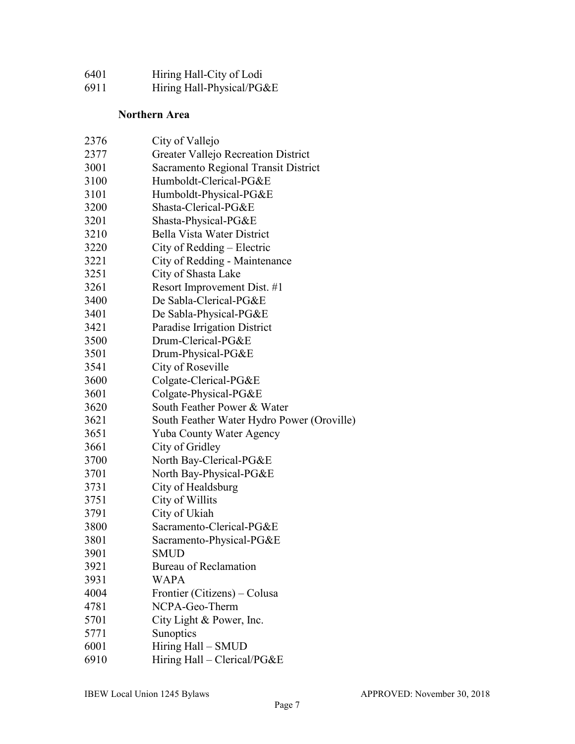| 6401 | Hiring Hall-City of Lodi  |
|------|---------------------------|
| 6911 | Hiring Hall-Physical/PG&E |

## **Northern Area**

| 2376 | City of Vallejo                            |
|------|--------------------------------------------|
| 2377 | <b>Greater Vallejo Recreation District</b> |
| 3001 | Sacramento Regional Transit District       |
| 3100 | Humboldt-Clerical-PG&E                     |
| 3101 | Humboldt-Physical-PG&E                     |
| 3200 | Shasta-Clerical-PG&E                       |
| 3201 | Shasta-Physical-PG&E                       |
| 3210 | Bella Vista Water District                 |
| 3220 | City of Redding $-$ Electric               |
| 3221 | City of Redding - Maintenance              |
| 3251 | City of Shasta Lake                        |
| 3261 | Resort Improvement Dist. #1                |
| 3400 | De Sabla-Clerical-PG&E                     |
| 3401 | De Sabla-Physical-PG&E                     |
| 3421 | Paradise Irrigation District               |
| 3500 | Drum-Clerical-PG&E                         |
| 3501 | Drum-Physical-PG&E                         |
| 3541 | City of Roseville                          |
| 3600 | Colgate-Clerical-PG&E                      |
| 3601 | Colgate-Physical-PG&E                      |
| 3620 | South Feather Power & Water                |
| 3621 | South Feather Water Hydro Power (Oroville) |
| 3651 | Yuba County Water Agency                   |
| 3661 | City of Gridley                            |
| 3700 | North Bay-Clerical-PG&E                    |
| 3701 | North Bay-Physical-PG&E                    |
| 3731 | City of Healdsburg                         |
| 3751 | City of Willits                            |
| 3791 | City of Ukiah                              |
| 3800 | Sacramento-Clerical-PG&E                   |
| 3801 | Sacramento-Physical-PG&E                   |
| 3901 | SMUD                                       |
| 3921 | <b>Bureau of Reclamation</b>               |
| 3931 | <b>WAPA</b>                                |
| 4004 | Frontier (Citizens) – Colusa               |
| 4781 | NCPA-Geo-Therm                             |
| 5701 | City Light & Power, Inc.                   |
| 5771 | Sunoptics                                  |
| 6001 | Hiring Hall - SMUD                         |
| 6910 | Hiring Hall - Clerical/PG&E                |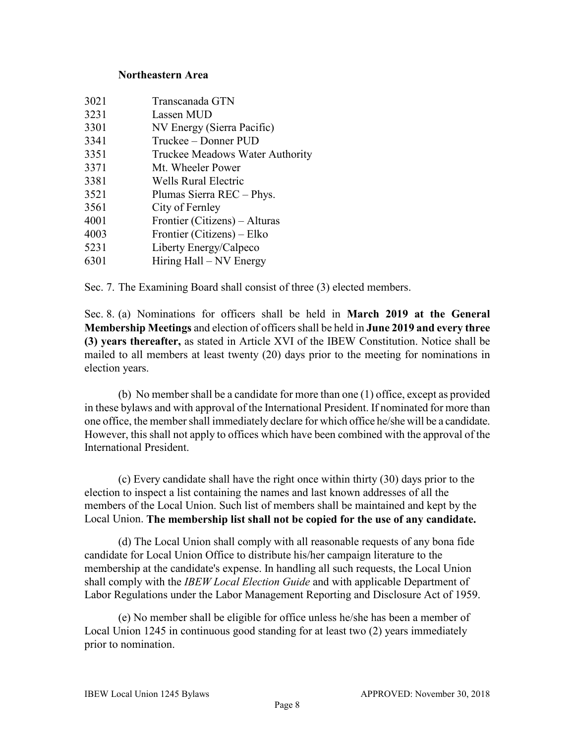#### **Northeastern Area**

| 3021 | Transcanada GTN                 |
|------|---------------------------------|
| 3231 | Lassen MUD                      |
| 3301 | NV Energy (Sierra Pacific)      |
| 3341 | Truckee – Donner PUD            |
| 3351 | Truckee Meadows Water Authority |
| 3371 | Mt. Wheeler Power               |
| 3381 | Wells Rural Electric            |
| 3521 | Plumas Sierra REC - Phys.       |
| 3561 | City of Fernley                 |
| 4001 | Frontier (Citizens) – Alturas   |
| 4003 | Frontier (Citizens) – Elko      |
| 5231 | Liberty Energy/Calpeco          |
| 6301 | Hiring Hall – NV Energy         |

Sec. 7. The Examining Board shall consist of three (3) elected members.

Sec. 8. (a) Nominations for officers shall be held in **March 2019 at the General Membership Meetings** and election of officers shall be held in **June 2019 and every three (3) years thereafter,** as stated in Article XVI of the IBEW Constitution. Notice shall be mailed to all members at least twenty (20) days prior to the meeting for nominations in election years.

(b) No member shall be a candidate for more than one (1) office, except as provided in these bylaws and with approval of the International President. If nominated for more than one office, the member shall immediately declare for which office he/she will be a candidate. However, this shall not apply to offices which have been combined with the approval of the International President.

(c) Every candidate shall have the right once within thirty (30) days prior to the election to inspect a list containing the names and last known addresses of all the members of the Local Union. Such list of members shall be maintained and kept by the Local Union. **The membership list shall not be copied for the use of any candidate.**

(d) The Local Union shall comply with all reasonable requests of any bona fide candidate for Local Union Office to distribute his/her campaign literature to the membership at the candidate's expense. In handling all such requests, the Local Union shall comply with the *IBEW Local Election Guide* and with applicable Department of Labor Regulations under the Labor Management Reporting and Disclosure Act of 1959.

(e) No member shall be eligible for office unless he/she has been a member of Local Union 1245 in continuous good standing for at least two (2) years immediately prior to nomination.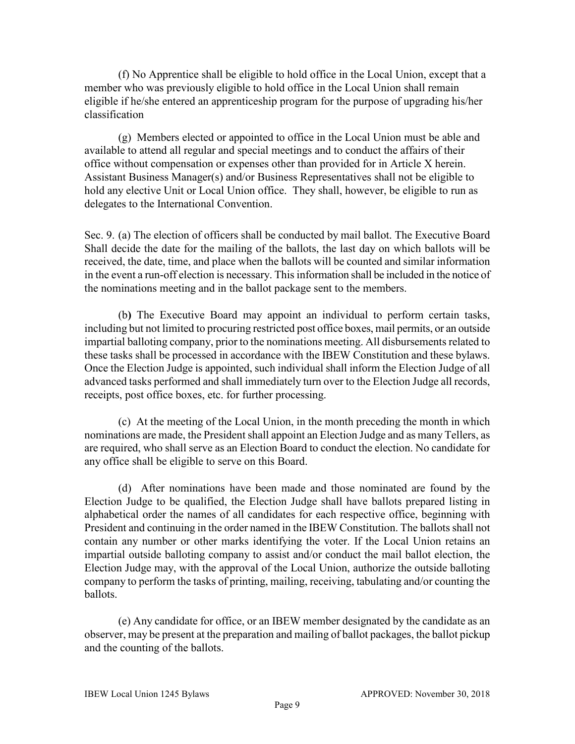(f) No Apprentice shall be eligible to hold office in the Local Union, except that a member who was previously eligible to hold office in the Local Union shall remain eligible if he/she entered an apprenticeship program for the purpose of upgrading his/her classification

(g) Members elected or appointed to office in the Local Union must be able and available to attend all regular and special meetings and to conduct the affairs of their office without compensation or expenses other than provided for in Article X herein. Assistant Business Manager(s) and/or Business Representatives shall not be eligible to hold any elective Unit or Local Union office. They shall, however, be eligible to run as delegates to the International Convention.

Sec. 9. (a) The election of officers shall be conducted by mail ballot. The Executive Board Shall decide the date for the mailing of the ballots, the last day on which ballots will be received, the date, time, and place when the ballots will be counted and similar information in the event a run-off election is necessary. This information shall be included in the notice of the nominations meeting and in the ballot package sent to the members.

(b**)** The Executive Board may appoint an individual to perform certain tasks, including but not limited to procuring restricted post office boxes, mail permits, or an outside impartial balloting company, prior to the nominations meeting. All disbursements related to these tasks shall be processed in accordance with the IBEW Constitution and these bylaws. Once the Election Judge is appointed, such individual shall inform the Election Judge of all advanced tasks performed and shall immediately turn over to the Election Judge all records, receipts, post office boxes, etc. for further processing.

(c) At the meeting of the Local Union, in the month preceding the month in which nominations are made, the President shall appoint an Election Judge and as many Tellers, as are required, who shall serve as an Election Board to conduct the election. No candidate for any office shall be eligible to serve on this Board.

(d) After nominations have been made and those nominated are found by the Election Judge to be qualified, the Election Judge shall have ballots prepared listing in alphabetical order the names of all candidates for each respective office, beginning with President and continuing in the order named in the IBEW Constitution. The ballots shall not contain any number or other marks identifying the voter. If the Local Union retains an impartial outside balloting company to assist and/or conduct the mail ballot election, the Election Judge may, with the approval of the Local Union, authorize the outside balloting company to perform the tasks of printing, mailing, receiving, tabulating and/or counting the ballots.

(e) Any candidate for office, or an IBEW member designated by the candidate as an observer, may be present at the preparation and mailing of ballot packages, the ballot pickup and the counting of the ballots.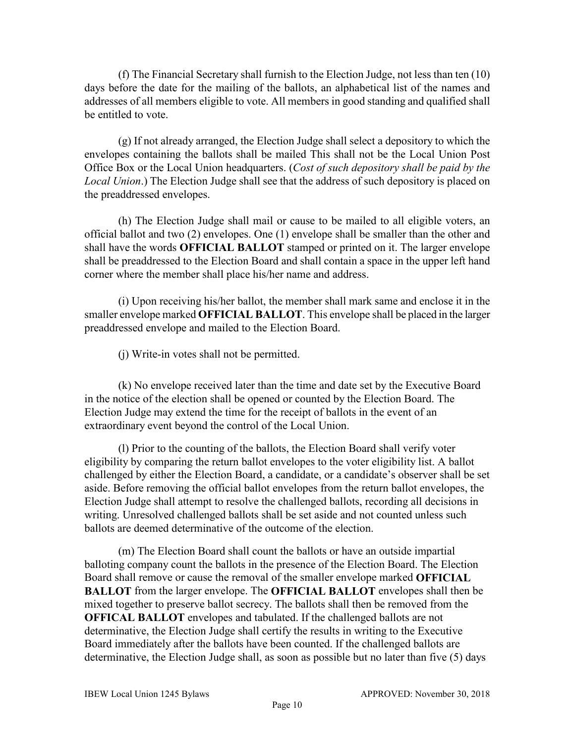(f) The Financial Secretary shall furnish to the Election Judge, not less than ten (10) days before the date for the mailing of the ballots, an alphabetical list of the names and addresses of all members eligible to vote. All members in good standing and qualified shall be entitled to vote.

(g) If not already arranged, the Election Judge shall select a depository to which the envelopes containing the ballots shall be mailed This shall not be the Local Union Post Office Box or the Local Union headquarters. (*Cost of such depository shall be paid by the Local Union*.) The Election Judge shall see that the address of such depository is placed on the preaddressed envelopes.

(h) The Election Judge shall mail or cause to be mailed to all eligible voters, an official ballot and two (2) envelopes. One (1) envelope shall be smaller than the other and shall have the words **OFFICIAL BALLOT** stamped or printed on it. The larger envelope shall be preaddressed to the Election Board and shall contain a space in the upper left hand corner where the member shall place his/her name and address.

(i) Upon receiving his/her ballot, the member shall mark same and enclose it in the smaller envelope marked **OFFICIAL BALLOT**. This envelope shall be placed in the larger preaddressed envelope and mailed to the Election Board.

(j) Write-in votes shall not be permitted.

(k) No envelope received later than the time and date set by the Executive Board in the notice of the election shall be opened or counted by the Election Board. The Election Judge may extend the time for the receipt of ballots in the event of an extraordinary event beyond the control of the Local Union.

(l) Prior to the counting of the ballots, the Election Board shall verify voter eligibility by comparing the return ballot envelopes to the voter eligibility list. A ballot challenged by either the Election Board, a candidate, or a candidate's observer shall be set aside. Before removing the official ballot envelopes from the return ballot envelopes, the Election Judge shall attempt to resolve the challenged ballots, recording all decisions in writing. Unresolved challenged ballots shall be set aside and not counted unless such ballots are deemed determinative of the outcome of the election.

(m) The Election Board shall count the ballots or have an outside impartial balloting company count the ballots in the presence of the Election Board. The Election Board shall remove or cause the removal of the smaller envelope marked **OFFICIAL BALLOT** from the larger envelope. The **OFFICIAL BALLOT** envelopes shall then be mixed together to preserve ballot secrecy. The ballots shall then be removed from the **OFFICAL BALLOT** envelopes and tabulated. If the challenged ballots are not determinative, the Election Judge shall certify the results in writing to the Executive Board immediately after the ballots have been counted. If the challenged ballots are determinative, the Election Judge shall, as soon as possible but no later than five (5) days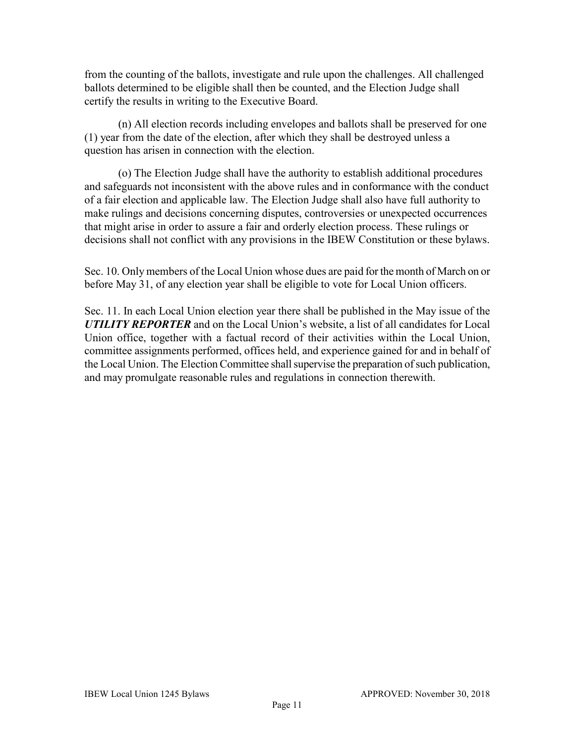from the counting of the ballots, investigate and rule upon the challenges. All challenged ballots determined to be eligible shall then be counted, and the Election Judge shall certify the results in writing to the Executive Board.

(n) All election records including envelopes and ballots shall be preserved for one (1) year from the date of the election, after which they shall be destroyed unless a question has arisen in connection with the election.

(o) The Election Judge shall have the authority to establish additional procedures and safeguards not inconsistent with the above rules and in conformance with the conduct of a fair election and applicable law. The Election Judge shall also have full authority to make rulings and decisions concerning disputes, controversies or unexpected occurrences that might arise in order to assure a fair and orderly election process. These rulings or decisions shall not conflict with any provisions in the IBEW Constitution or these bylaws.

Sec. 10. Only members of the Local Union whose dues are paid for the month of March on or before May 31, of any election year shall be eligible to vote for Local Union officers.

Sec. 11. In each Local Union election year there shall be published in the May issue of the *UTILITY REPORTER* and on the Local Union's website, a list of all candidates for Local Union office, together with a factual record of their activities within the Local Union, committee assignments performed, offices held, and experience gained for and in behalf of the Local Union. The Election Committee shall supervise the preparation of such publication, and may promulgate reasonable rules and regulations in connection therewith.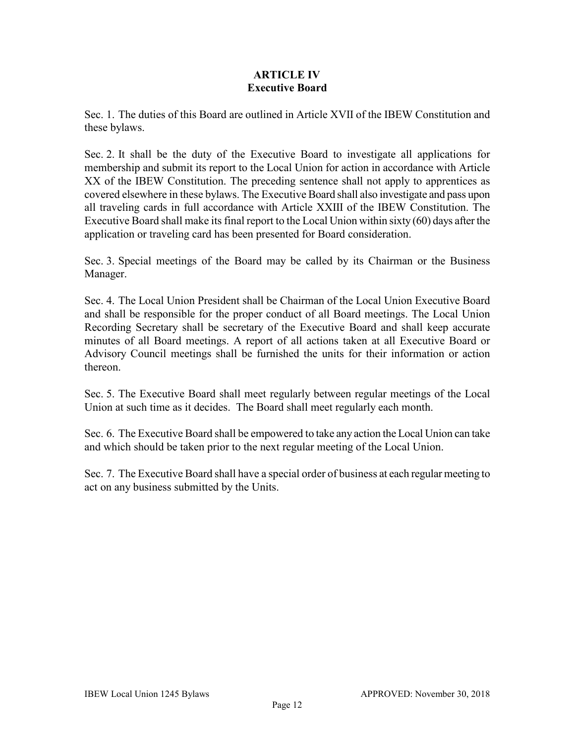### **ARTICLE IV Executive Board**

Sec. 1. The duties of this Board are outlined in Article XVII of the IBEW Constitution and these bylaws.

Sec. 2. It shall be the duty of the Executive Board to investigate all applications for membership and submit its report to the Local Union for action in accordance with Article XX of the IBEW Constitution. The preceding sentence shall not apply to apprentices as covered elsewhere in these bylaws. The Executive Board shall also investigate and pass upon all traveling cards in full accordance with Article XXIII of the IBEW Constitution. The Executive Board shall make its final report to the Local Union within sixty (60) days after the application or traveling card has been presented for Board consideration.

Sec. 3. Special meetings of the Board may be called by its Chairman or the Business Manager.

Sec. 4. The Local Union President shall be Chairman of the Local Union Executive Board and shall be responsible for the proper conduct of all Board meetings. The Local Union Recording Secretary shall be secretary of the Executive Board and shall keep accurate minutes of all Board meetings. A report of all actions taken at all Executive Board or Advisory Council meetings shall be furnished the units for their information or action thereon.

Sec. 5. The Executive Board shall meet regularly between regular meetings of the Local Union at such time as it decides. The Board shall meet regularly each month.

Sec. 6. The Executive Board shall be empowered to take any action the Local Union can take and which should be taken prior to the next regular meeting of the Local Union.

Sec. 7. The Executive Board shall have a special order of business at each regular meeting to act on any business submitted by the Units.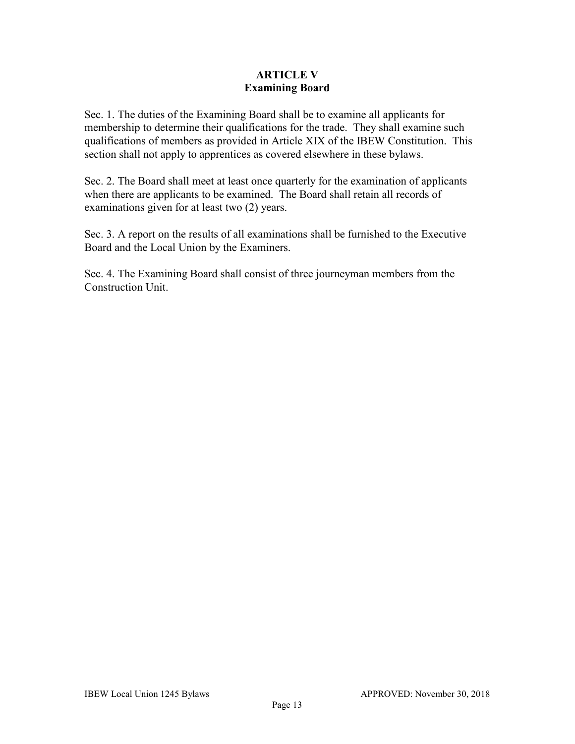### **ARTICLE V Examining Board**

Sec. 1. The duties of the Examining Board shall be to examine all applicants for membership to determine their qualifications for the trade. They shall examine such qualifications of members as provided in Article XIX of the IBEW Constitution. This section shall not apply to apprentices as covered elsewhere in these bylaws.

Sec. 2. The Board shall meet at least once quarterly for the examination of applicants when there are applicants to be examined. The Board shall retain all records of examinations given for at least two (2) years.

Sec. 3. A report on the results of all examinations shall be furnished to the Executive Board and the Local Union by the Examiners.

Sec. 4. The Examining Board shall consist of three journeyman members from the Construction Unit.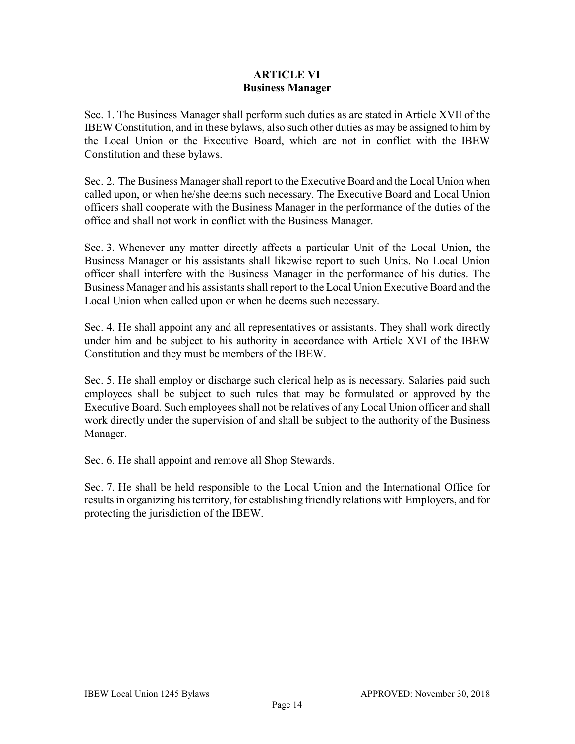### **ARTICLE VI Business Manager**

Sec. 1. The Business Manager shall perform such duties as are stated in Article XVII of the IBEW Constitution, and in these bylaws, also such other duties as may be assigned to him by the Local Union or the Executive Board, which are not in conflict with the IBEW Constitution and these bylaws.

Sec. 2. The Business Manager shall report to the Executive Board and the Local Union when called upon, or when he/she deems such necessary. The Executive Board and Local Union officers shall cooperate with the Business Manager in the performance of the duties of the office and shall not work in conflict with the Business Manager.

Sec. 3. Whenever any matter directly affects a particular Unit of the Local Union, the Business Manager or his assistants shall likewise report to such Units. No Local Union officer shall interfere with the Business Manager in the performance of his duties. The Business Manager and his assistants shall report to the Local Union Executive Board and the Local Union when called upon or when he deems such necessary.

Sec. 4. He shall appoint any and all representatives or assistants. They shall work directly under him and be subject to his authority in accordance with Article XVI of the IBEW Constitution and they must be members of the IBEW.

Sec. 5. He shall employ or discharge such clerical help as is necessary. Salaries paid such employees shall be subject to such rules that may be formulated or approved by the Executive Board. Such employees shall not be relatives of any Local Union officer and shall work directly under the supervision of and shall be subject to the authority of the Business Manager.

Sec. 6. He shall appoint and remove all Shop Stewards.

Sec. 7. He shall be held responsible to the Local Union and the International Office for results in organizing his territory, for establishing friendly relations with Employers, and for protecting the jurisdiction of the IBEW.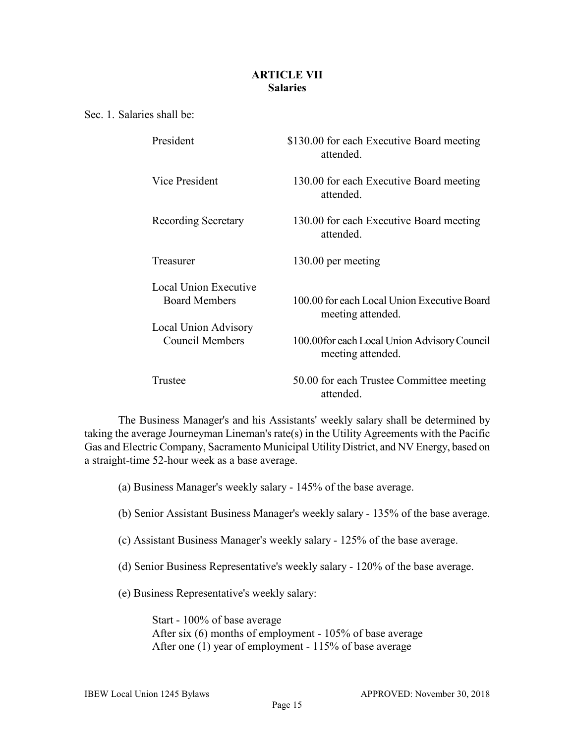### **ARTICLE VII Salaries**

Sec. 1. Salaries shall be:

| President                                                             | \$130.00 for each Executive Board meeting<br>attended.            |
|-----------------------------------------------------------------------|-------------------------------------------------------------------|
| Vice President                                                        | 130.00 for each Executive Board meeting<br>attended.              |
| Recording Secretary                                                   | 130.00 for each Executive Board meeting<br>attended.              |
| Treasurer                                                             | 130.00 per meeting                                                |
| Local Union Executive<br><b>Board Members</b><br>Local Union Advisory | 100.00 for each Local Union Executive Board<br>meeting attended.  |
| <b>Council Members</b>                                                | 100.00 for each Local Union Advisory Council<br>meeting attended. |
| Trustee                                                               | 50.00 for each Trustee Committee meeting<br>attended.             |

The Business Manager's and his Assistants' weekly salary shall be determined by taking the average Journeyman Lineman's rate(s) in the Utility Agreements with the Pacific Gas and Electric Company, Sacramento Municipal UtilityDistrict, and NV Energy, based on a straight-time 52-hour week as a base average.

(a) Business Manager's weekly salary - 145% of the base average.

(b) Senior Assistant Business Manager's weekly salary - 135% of the base average.

- (c) Assistant Business Manager's weekly salary 125% of the base average.
- (d) Senior Business Representative's weekly salary 120% of the base average.

(e) Business Representative's weekly salary:

Start - 100% of base average After six (6) months of employment - 105% of base average After one (1) year of employment - 115% of base average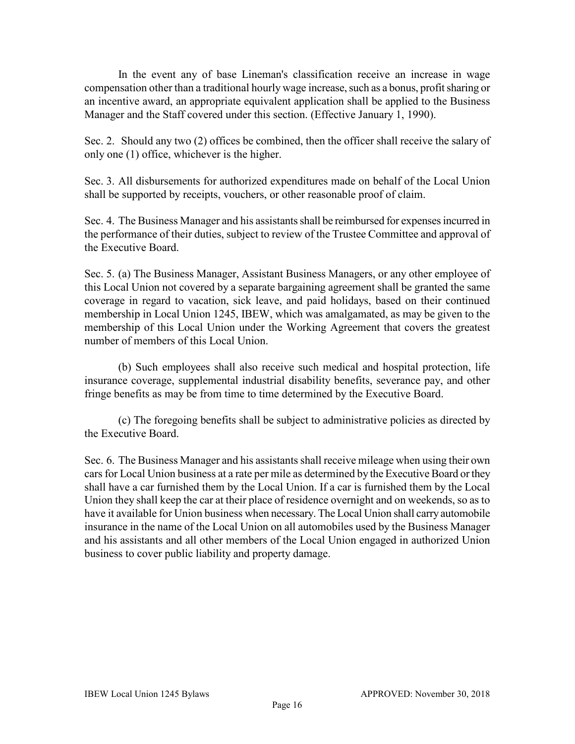In the event any of base Lineman's classification receive an increase in wage compensation other than a traditional hourly wage increase, such as a bonus, profit sharing or an incentive award, an appropriate equivalent application shall be applied to the Business Manager and the Staff covered under this section. (Effective January 1, 1990).

Sec. 2. Should any two (2) offices be combined, then the officer shall receive the salary of only one (1) office, whichever is the higher.

Sec. 3. All disbursements for authorized expenditures made on behalf of the Local Union shall be supported by receipts, vouchers, or other reasonable proof of claim.

Sec. 4. The Business Manager and his assistants shall be reimbursed for expenses incurred in the performance of their duties, subject to review of the Trustee Committee and approval of the Executive Board.

Sec. 5. (a) The Business Manager, Assistant Business Managers, or any other employee of this Local Union not covered by a separate bargaining agreement shall be granted the same coverage in regard to vacation, sick leave, and paid holidays, based on their continued membership in Local Union 1245, IBEW, which was amalgamated, as may be given to the membership of this Local Union under the Working Agreement that covers the greatest number of members of this Local Union.

(b) Such employees shall also receive such medical and hospital protection, life insurance coverage, supplemental industrial disability benefits, severance pay, and other fringe benefits as may be from time to time determined by the Executive Board.

(c) The foregoing benefits shall be subject to administrative policies as directed by the Executive Board.

Sec. 6. The Business Manager and his assistants shall receive mileage when using their own cars for Local Union business at a rate per mile as determined by the Executive Board or they shall have a car furnished them by the Local Union. If a car is furnished them by the Local Union they shall keep the car at their place of residence overnight and on weekends, so as to have it available for Union business when necessary. The Local Union shall carry automobile insurance in the name of the Local Union on all automobiles used by the Business Manager and his assistants and all other members of the Local Union engaged in authorized Union business to cover public liability and property damage.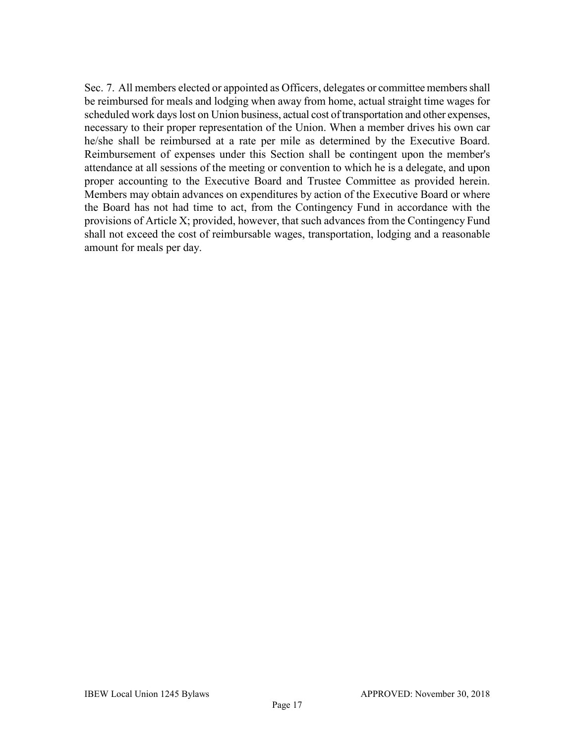Sec. 7. All members elected or appointed as Officers, delegates or committee members shall be reimbursed for meals and lodging when away from home, actual straight time wages for scheduled work days lost on Union business, actual cost of transportation and other expenses, necessary to their proper representation of the Union. When a member drives his own car he/she shall be reimbursed at a rate per mile as determined by the Executive Board. Reimbursement of expenses under this Section shall be contingent upon the member's attendance at all sessions of the meeting or convention to which he is a delegate, and upon proper accounting to the Executive Board and Trustee Committee as provided herein. Members may obtain advances on expenditures by action of the Executive Board or where the Board has not had time to act, from the Contingency Fund in accordance with the provisions of Article X; provided, however, that such advances from the Contingency Fund shall not exceed the cost of reimbursable wages, transportation, lodging and a reasonable amount for meals per day.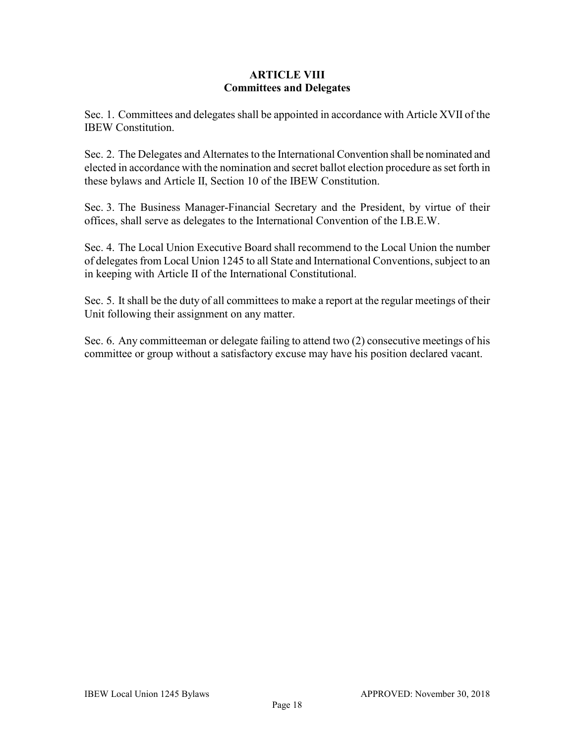### **ARTICLE VIII Committees and Delegates**

Sec. 1. Committees and delegates shall be appointed in accordance with Article XVII of the IBEW Constitution.

Sec. 2. The Delegates and Alternates to the International Convention shall be nominated and elected in accordance with the nomination and secret ballot election procedure as set forth in these bylaws and Article II, Section 10 of the IBEW Constitution.

Sec. 3. The Business Manager-Financial Secretary and the President, by virtue of their offices, shall serve as delegates to the International Convention of the I.B.E.W.

Sec. 4. The Local Union Executive Board shall recommend to the Local Union the number of delegates from Local Union 1245 to all State and International Conventions, subject to an in keeping with Article II of the International Constitutional.

Sec. 5. It shall be the duty of all committees to make a report at the regular meetings of their Unit following their assignment on any matter.

Sec. 6. Any committeeman or delegate failing to attend two (2) consecutive meetings of his committee or group without a satisfactory excuse may have his position declared vacant.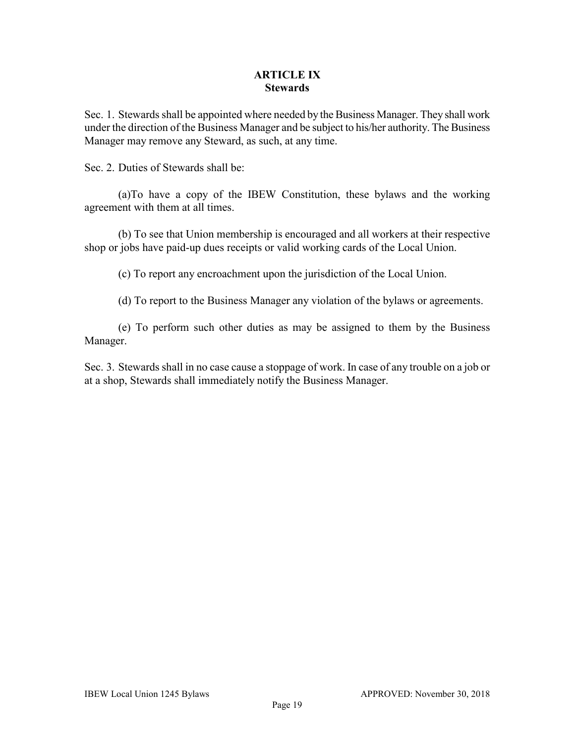### **ARTICLE IX Stewards**

Sec. 1. Stewards shall be appointed where needed by the Business Manager. They shall work under the direction of the Business Manager and be subject to his/her authority. The Business Manager may remove any Steward, as such, at any time.

Sec. 2. Duties of Stewards shall be:

(a)To have a copy of the IBEW Constitution, these bylaws and the working agreement with them at all times.

(b) To see that Union membership is encouraged and all workers at their respective shop or jobs have paid-up dues receipts or valid working cards of the Local Union.

(c) To report any encroachment upon the jurisdiction of the Local Union.

(d) To report to the Business Manager any violation of the bylaws or agreements.

(e) To perform such other duties as may be assigned to them by the Business Manager.

Sec. 3. Stewards shall in no case cause a stoppage of work. In case of any trouble on a job or at a shop, Stewards shall immediately notify the Business Manager.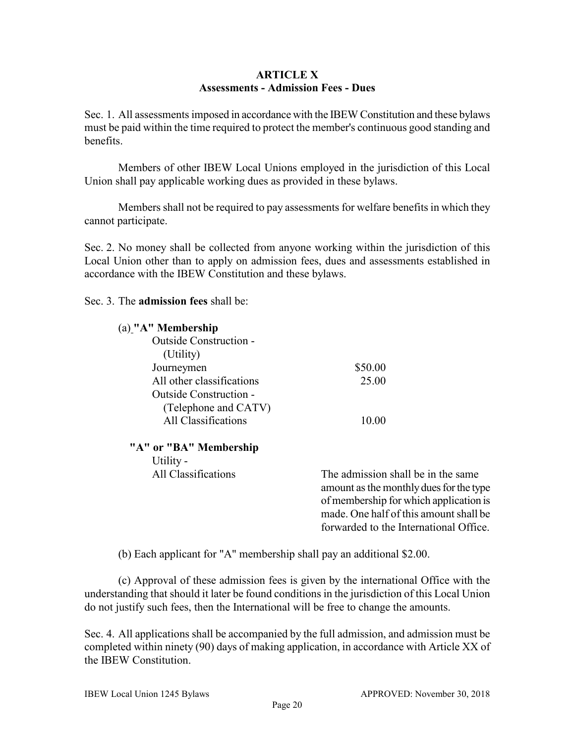### **ARTICLE X Assessments - Admission Fees - Dues**

Sec. 1. All assessments imposed in accordance with the IBEW Constitution and these bylaws must be paid within the time required to protect the member's continuous good standing and benefits.

Members of other IBEW Local Unions employed in the jurisdiction of this Local Union shall pay applicable working dues as provided in these bylaws.

Members shall not be required to pay assessments for welfare benefits in which they cannot participate.

Sec. 2. No money shall be collected from anyone working within the jurisdiction of this Local Union other than to apply on admission fees, dues and assessments established in accordance with the IBEW Constitution and these bylaws.

Sec. 3. The **admission fees** shall be:

| $(a)$ "A" Membership          |                                                                                                                                                                                                             |
|-------------------------------|-------------------------------------------------------------------------------------------------------------------------------------------------------------------------------------------------------------|
| <b>Outside Construction -</b> |                                                                                                                                                                                                             |
| (Utility)                     |                                                                                                                                                                                                             |
| Journeymen                    | \$50.00                                                                                                                                                                                                     |
| All other classifications     | 25.00                                                                                                                                                                                                       |
| Outside Construction -        |                                                                                                                                                                                                             |
| (Telephone and CATV)          |                                                                                                                                                                                                             |
| All Classifications           | 10.00                                                                                                                                                                                                       |
| "A" or "BA" Membership        |                                                                                                                                                                                                             |
| Utility -                     |                                                                                                                                                                                                             |
| All Classifications           | The admission shall be in the same<br>amount as the monthly dues for the type<br>of membership for which application is<br>made. One half of this amount shall be<br>forwarded to the International Office. |

(b) Each applicant for "A" membership shall pay an additional \$2.00.

(c) Approval of these admission fees is given by the international Office with the understanding that should it later be found conditions in the jurisdiction of this Local Union do not justify such fees, then the International will be free to change the amounts.

Sec. 4. All applications shall be accompanied by the full admission, and admission must be completed within ninety (90) days of making application, in accordance with Article XX of the IBEW Constitution.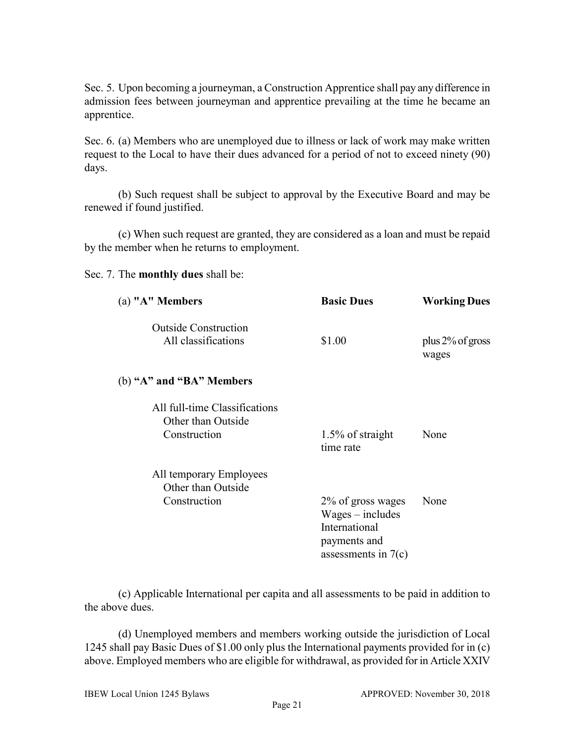Sec. 5. Upon becoming a journeyman, a Construction Apprentice shall pay any difference in admission fees between journeyman and apprentice prevailing at the time he became an apprentice.

Sec. 6. (a) Members who are unemployed due to illness or lack of work may make written request to the Local to have their dues advanced for a period of not to exceed ninety (90) days.

(b) Such request shall be subject to approval by the Executive Board and may be renewed if found justified.

(c) When such request are granted, they are considered as a loan and must be repaid by the member when he returns to employment.

Sec. 7. The **monthly dues** shall be:

| (a) "A" Members                                     | <b>Basic Dues</b>                                                                                 | <b>Working Dues</b>          |
|-----------------------------------------------------|---------------------------------------------------------------------------------------------------|------------------------------|
| <b>Outside Construction</b>                         |                                                                                                   |                              |
| All classifications                                 | \$1.00                                                                                            | plus $2\%$ of gross<br>wages |
| (b) "A" and "BA" Members                            |                                                                                                   |                              |
| All full-time Classifications<br>Other than Outside |                                                                                                   |                              |
| Construction                                        | 1.5% of straight<br>time rate                                                                     | None                         |
| All temporary Employees                             |                                                                                                   |                              |
| Other than Outside                                  |                                                                                                   |                              |
| Construction                                        | 2% of gross wages<br>$Wages - includes$<br>International<br>payments and<br>assessments in $7(c)$ | None                         |
|                                                     |                                                                                                   |                              |

(c) Applicable International per capita and all assessments to be paid in addition to the above dues.

(d) Unemployed members and members working outside the jurisdiction of Local 1245 shall pay Basic Dues of \$1.00 only plus the International payments provided for in (c) above. Employed members who are eligible for withdrawal, as provided for in Article XXIV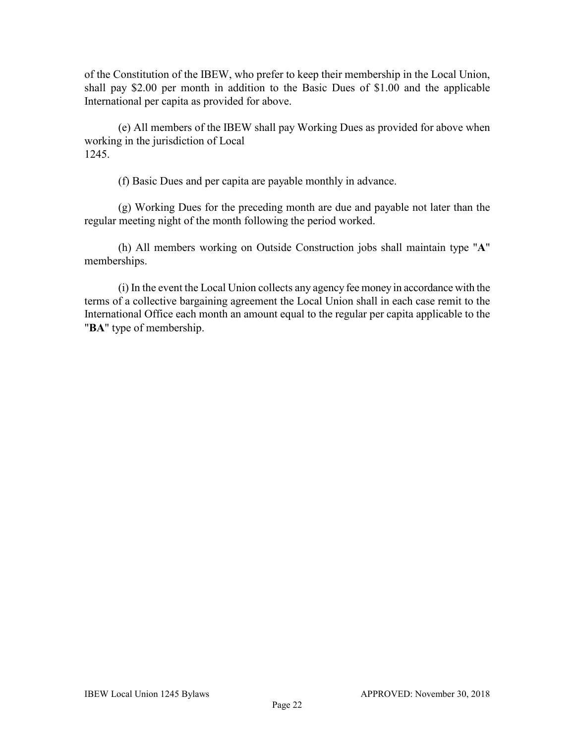of the Constitution of the IBEW, who prefer to keep their membership in the Local Union, shall pay \$2.00 per month in addition to the Basic Dues of \$1.00 and the applicable International per capita as provided for above.

(e) All members of the IBEW shall pay Working Dues as provided for above when working in the jurisdiction of Local 1245.

(f) Basic Dues and per capita are payable monthly in advance.

(g) Working Dues for the preceding month are due and payable not later than the regular meeting night of the month following the period worked.

(h) All members working on Outside Construction jobs shall maintain type "**A**" memberships.

(i) In the event the Local Union collects any agency fee money in accordance with the terms of a collective bargaining agreement the Local Union shall in each case remit to the International Office each month an amount equal to the regular per capita applicable to the "**BA**" type of membership.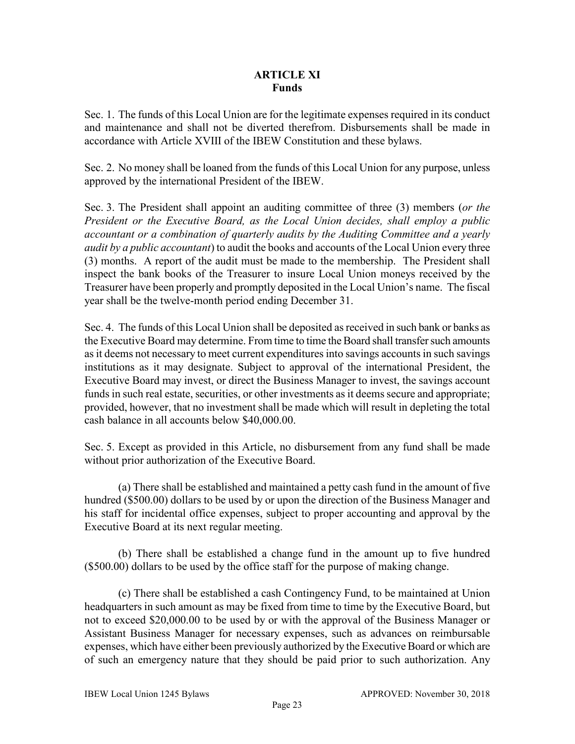### **ARTICLE XI Funds**

Sec. 1. The funds of this Local Union are for the legitimate expenses required in its conduct and maintenance and shall not be diverted therefrom. Disbursements shall be made in accordance with Article XVIII of the IBEW Constitution and these bylaws.

Sec. 2. No money shall be loaned from the funds of this Local Union for any purpose, unless approved by the international President of the IBEW.

Sec. 3. The President shall appoint an auditing committee of three (3) members (*or the President or the Executive Board, as the Local Union decides, shall employ a public accountant or a combination of quarterly audits by the Auditing Committee and a yearly audit by a public accountant*) to audit the books and accounts of the Local Union every three (3) months. A report of the audit must be made to the membership. The President shall inspect the bank books of the Treasurer to insure Local Union moneys received by the Treasurer have been properly and promptly deposited in the Local Union's name. The fiscal year shall be the twelve-month period ending December 31.

Sec. 4. The funds of this Local Union shall be deposited as received in such bank or banks as the Executive Board may determine. From time to time the Board shall transfer such amounts as it deems not necessary to meet current expenditures into savings accountsin such savings institutions as it may designate. Subject to approval of the international President, the Executive Board may invest, or direct the Business Manager to invest, the savings account funds in such real estate, securities, or other investments as it deems secure and appropriate; provided, however, that no investment shall be made which will result in depleting the total cash balance in all accounts below \$40,000.00.

Sec. 5. Except as provided in this Article, no disbursement from any fund shall be made without prior authorization of the Executive Board.

(a) There shall be established and maintained a petty cash fund in the amount of five hundred (\$500.00) dollars to be used by or upon the direction of the Business Manager and his staff for incidental office expenses, subject to proper accounting and approval by the Executive Board at its next regular meeting.

(b) There shall be established a change fund in the amount up to five hundred (\$500.00) dollars to be used by the office staff for the purpose of making change.

(c) There shall be established a cash Contingency Fund, to be maintained at Union headquarters in such amount as may be fixed from time to time by the Executive Board, but not to exceed \$20,000.00 to be used by or with the approval of the Business Manager or Assistant Business Manager for necessary expenses, such as advances on reimbursable expenses, which have either been previously authorized by the Executive Board or which are of such an emergency nature that they should be paid prior to such authorization. Any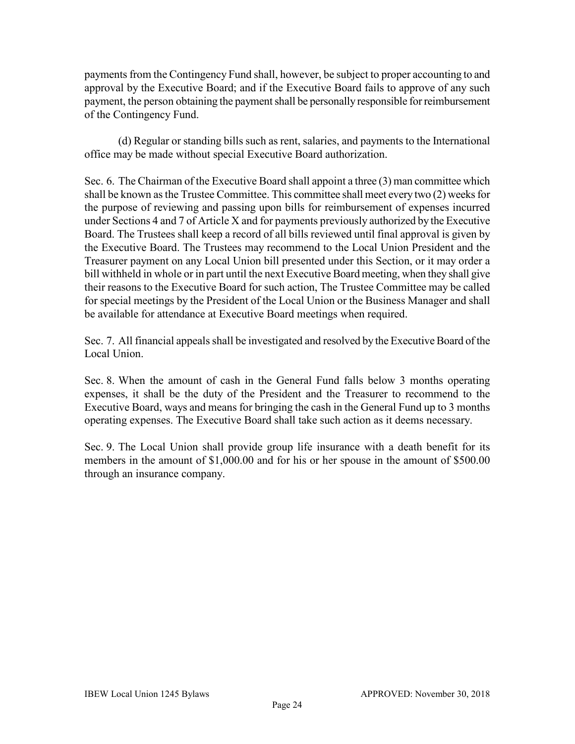payments from the Contingency Fund shall, however, be subject to proper accounting to and approval by the Executive Board; and if the Executive Board fails to approve of any such payment, the person obtaining the payment shall be personally responsible for reimbursement of the Contingency Fund.

(d) Regular or standing bills such as rent, salaries, and payments to the International office may be made without special Executive Board authorization.

Sec. 6. The Chairman of the Executive Board shall appoint a three (3) man committee which shall be known as the Trustee Committee. This committee shall meet every two (2) weeks for the purpose of reviewing and passing upon bills for reimbursement of expenses incurred under Sections 4 and 7 of Article X and for payments previously authorized by the Executive Board. The Trustees shall keep a record of all bills reviewed until final approval is given by the Executive Board. The Trustees may recommend to the Local Union President and the Treasurer payment on any Local Union bill presented under this Section, or it may order a bill withheld in whole or in part until the next Executive Board meeting, when they shall give their reasons to the Executive Board for such action, The Trustee Committee may be called for special meetings by the President of the Local Union or the Business Manager and shall be available for attendance at Executive Board meetings when required.

Sec. 7. All financial appeals shall be investigated and resolved by the Executive Board of the Local Union.

Sec. 8. When the amount of cash in the General Fund falls below 3 months operating expenses, it shall be the duty of the President and the Treasurer to recommend to the Executive Board, ways and means for bringing the cash in the General Fund up to 3 months operating expenses. The Executive Board shall take such action as it deems necessary.

Sec. 9. The Local Union shall provide group life insurance with a death benefit for its members in the amount of \$1,000.00 and for his or her spouse in the amount of \$500.00 through an insurance company.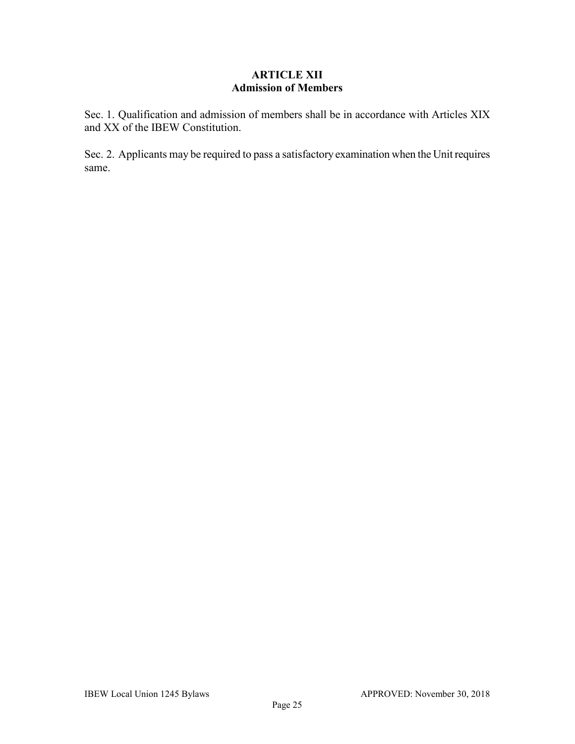## **ARTICLE XII Admission of Members**

Sec. 1. Qualification and admission of members shall be in accordance with Articles XIX and XX of the IBEW Constitution.

Sec. 2. Applicants may be required to pass a satisfactory examination when the Unit requires same.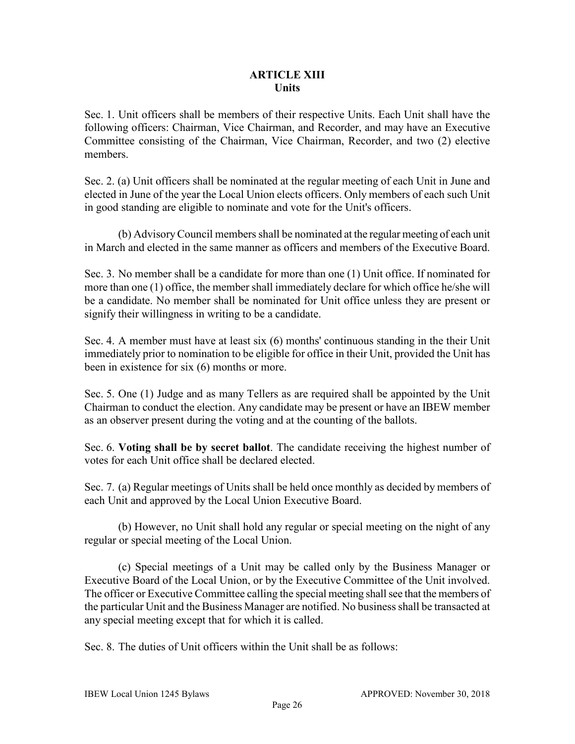### **ARTICLE XIII Units**

Sec. 1. Unit officers shall be members of their respective Units. Each Unit shall have the following officers: Chairman, Vice Chairman, and Recorder, and may have an Executive Committee consisting of the Chairman, Vice Chairman, Recorder, and two (2) elective members.

Sec. 2. (a) Unit officers shall be nominated at the regular meeting of each Unit in June and elected in June of the year the Local Union elects officers. Only members of each such Unit in good standing are eligible to nominate and vote for the Unit's officers.

 (b) Advisory Council members shall be nominated at the regular meeting of each unit in March and elected in the same manner as officers and members of the Executive Board.

Sec. 3. No member shall be a candidate for more than one (1) Unit office. If nominated for more than one (1) office, the member shall immediately declare for which office he/she will be a candidate. No member shall be nominated for Unit office unless they are present or signify their willingness in writing to be a candidate.

Sec. 4. A member must have at least six (6) months' continuous standing in the their Unit immediately prior to nomination to be eligible for office in their Unit, provided the Unit has been in existence for six (6) months or more.

Sec. 5. One (1) Judge and as many Tellers as are required shall be appointed by the Unit Chairman to conduct the election. Any candidate may be present or have an IBEW member as an observer present during the voting and at the counting of the ballots.

Sec. 6. **Voting shall be by secret ballot**. The candidate receiving the highest number of votes for each Unit office shall be declared elected.

Sec. 7. (a) Regular meetings of Units shall be held once monthly as decided by members of each Unit and approved by the Local Union Executive Board.

(b) However, no Unit shall hold any regular or special meeting on the night of any regular or special meeting of the Local Union.

(c) Special meetings of a Unit may be called only by the Business Manager or Executive Board of the Local Union, or by the Executive Committee of the Unit involved. The officer or Executive Committee calling the special meeting shall see that the members of the particular Unit and the Business Manager are notified. No business shall be transacted at any special meeting except that for which it is called.

Sec. 8. The duties of Unit officers within the Unit shall be as follows: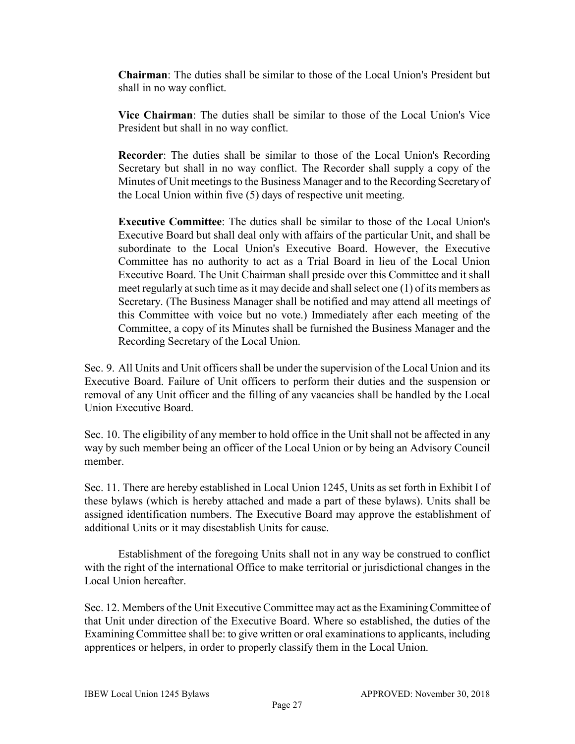**Chairman**: The duties shall be similar to those of the Local Union's President but shall in no way conflict.

**Vice Chairman**: The duties shall be similar to those of the Local Union's Vice President but shall in no way conflict.

**Recorder**: The duties shall be similar to those of the Local Union's Recording Secretary but shall in no way conflict. The Recorder shall supply a copy of the Minutes of Unit meetings to the Business Manager and to the Recording Secretary of the Local Union within five (5) days of respective unit meeting.

**Executive Committee**: The duties shall be similar to those of the Local Union's Executive Board but shall deal only with affairs of the particular Unit, and shall be subordinate to the Local Union's Executive Board. However, the Executive Committee has no authority to act as a Trial Board in lieu of the Local Union Executive Board. The Unit Chairman shall preside over this Committee and it shall meet regularly at such time as it may decide and shall select one (1) of its members as Secretary. (The Business Manager shall be notified and may attend all meetings of this Committee with voice but no vote.) Immediately after each meeting of the Committee, a copy of its Minutes shall be furnished the Business Manager and the Recording Secretary of the Local Union.

Sec. 9. All Units and Unit officers shall be under the supervision of the Local Union and its Executive Board. Failure of Unit officers to perform their duties and the suspension or removal of any Unit officer and the filling of any vacancies shall be handled by the Local Union Executive Board.

Sec. 10. The eligibility of any member to hold office in the Unit shall not be affected in any way by such member being an officer of the Local Union or by being an Advisory Council member.

Sec. 11. There are hereby established in Local Union 1245, Units as set forth in Exhibit I of these bylaws (which is hereby attached and made a part of these bylaws). Units shall be assigned identification numbers. The Executive Board may approve the establishment of additional Units or it may disestablish Units for cause.

Establishment of the foregoing Units shall not in any way be construed to conflict with the right of the international Office to make territorial or jurisdictional changes in the Local Union hereafter.

Sec. 12. Members of the Unit Executive Committee may act as the Examining Committee of that Unit under direction of the Executive Board. Where so established, the duties of the Examining Committee shall be: to give written or oral examinations to applicants, including apprentices or helpers, in order to properly classify them in the Local Union.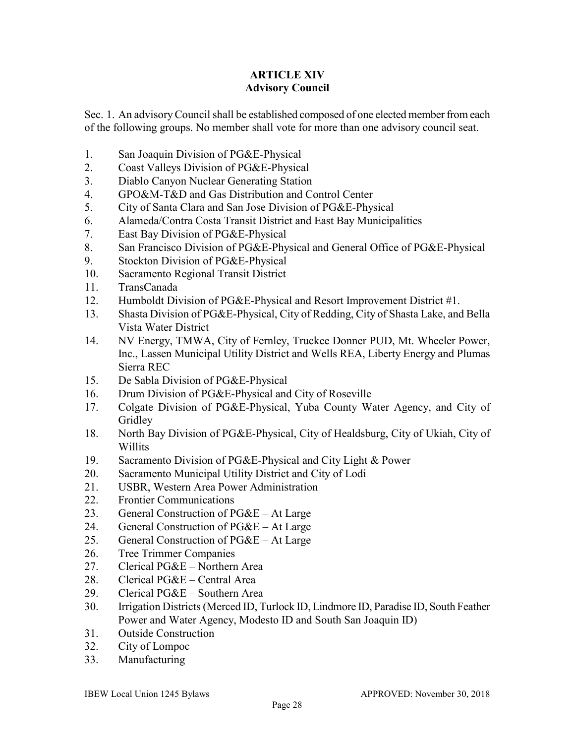### **ARTICLE XIV Advisory Council**

Sec. 1. An advisory Council shall be established composed of one elected member from each of the following groups. No member shall vote for more than one advisory council seat.

- 1. San Joaquin Division of PG&E-Physical
- 2. Coast Valleys Division of PG&E-Physical
- 3. Diablo Canyon Nuclear Generating Station
- 4. GPO&M-T&D and Gas Distribution and Control Center
- 5. City of Santa Clara and San Jose Division of PG&E-Physical
- 6. Alameda/Contra Costa Transit District and East Bay Municipalities
- 7. East Bay Division of PG&E-Physical
- 8. San Francisco Division of PG&E-Physical and General Office of PG&E-Physical
- 9. Stockton Division of PG&E-Physical
- 10. Sacramento Regional Transit District
- 11. TransCanada
- 12. Humboldt Division of PG&E-Physical and Resort Improvement District #1.
- 13. Shasta Division of PG&E-Physical, City of Redding, City of Shasta Lake, and Bella Vista Water District
- 14. NV Energy, TMWA, City of Fernley, Truckee Donner PUD, Mt. Wheeler Power, Inc., Lassen Municipal Utility District and Wells REA, Liberty Energy and Plumas Sierra REC
- 15. De Sabla Division of PG&E-Physical
- 16. Drum Division of PG&E-Physical and City of Roseville
- 17. Colgate Division of PG&E-Physical, Yuba County Water Agency, and City of Gridley
- 18. North Bay Division of PG&E-Physical, City of Healdsburg, City of Ukiah, City of Willits
- 19. Sacramento Division of PG&E-Physical and City Light & Power
- 20. Sacramento Municipal Utility District and City of Lodi
- 21. USBR, Western Area Power Administration
- 22. Frontier Communications
- 23. General Construction of  $PG&E At Large$
- 24. General Construction of PG&E At Large
- 25. General Construction of  $PG&E At Large$
- 26. Tree Trimmer Companies
- 27. Clerical PG&E Northern Area
- 28. Clerical PG&E Central Area
- 29. Clerical PG&E Southern Area
- 30. Irrigation Districts (Merced ID, Turlock ID, Lindmore ID, Paradise ID, South Feather Power and Water Agency, Modesto ID and South San Joaquin ID)
- 31. Outside Construction
- 32. City of Lompoc
- 33. Manufacturing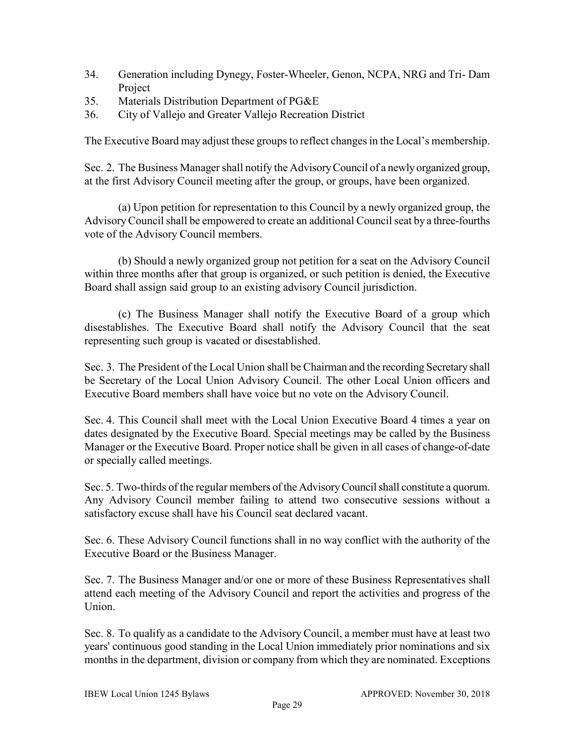- 34. Generation including Dynegy, Foster-Wheeler, Genon, NCPA, NRG and Tri- Dam Project
- 35. Materials Distribution Department of PG&E
- 36. City of Vallejo and Greater Vallejo Recreation District

The Executive Board may adjust these groups to reflect changes in the Local's membership.

Sec. 2. The Business Manager shall notify the Advisory Council of a newly organized group, at the first Advisory Council meeting after the group, or groups, have been organized.

(a) Upon petition for representation to this Council by a newly organized group, the Advisory Council shall be empowered to create an additional Council seat by a three-fourths vote of the Advisory Council members.

(b) Should a newly organized group not petition for a seat on the Advisory Council within three months after that group is organized, or such petition is denied, the Executive Board shall assign said group to an existing advisory Council jurisdiction.

(c) The Business Manager shall notify the Executive Board of a group which disestablishes. The Executive Board shall notify the Advisory Council that the seat representing such group is vacated or disestablished.

Sec. 3. The President of the Local Union shall be Chairman and the recording Secretary shall be Secretary of the Local Union Advisory Council. The other Local Union officers and Executive Board members shall have voice but no vote on the Advisory Council.

Sec. 4. This Council shall meet with the Local Union Executive Board 4 times a year on dates designated by the Executive Board. Special meetings may be called by the Business Manager or the Executive Board. Proper notice shall be given in all cases of change-of-date or specially called meetings.

Sec. 5. Two-thirds of the regular members of the Advisory Council shall constitute a quorum. Any Advisory Council member failing to attend two consecutive sessions without a satisfactory excuse shall have his Council seat declared vacant.

Sec. 6. These Advisory Council functions shall in no way conflict with the authority of the Executive Board or the Business Manager.

Sec. 7. The Business Manager and/or one or more of these Business Representatives shall attend each meeting of the Advisory Council and report the activities and progress of the Union.

Sec. 8. To qualify as a candidate to the Advisory Council, a member must have at least two years' continuous good standing in the Local Union immediately prior nominations and six months in the department, division or company from which they are nominated. Exceptions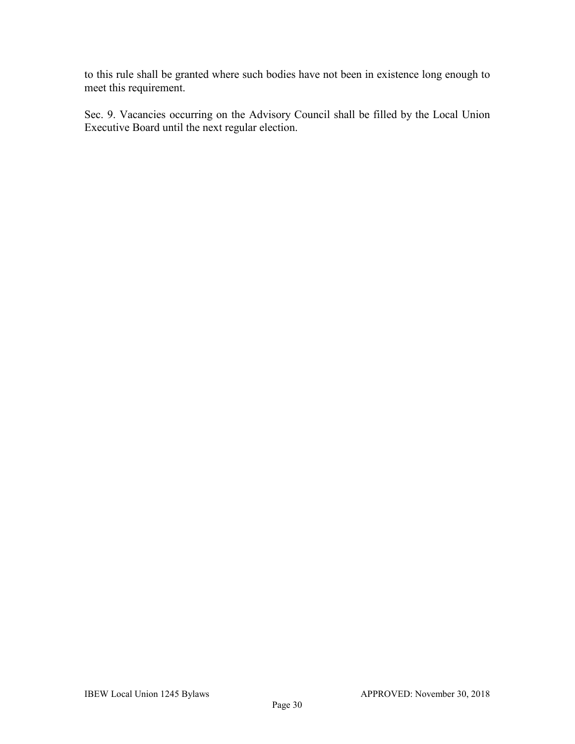to this rule shall be granted where such bodies have not been in existence long enough to meet this requirement.

Sec. 9. Vacancies occurring on the Advisory Council shall be filled by the Local Union Executive Board until the next regular election.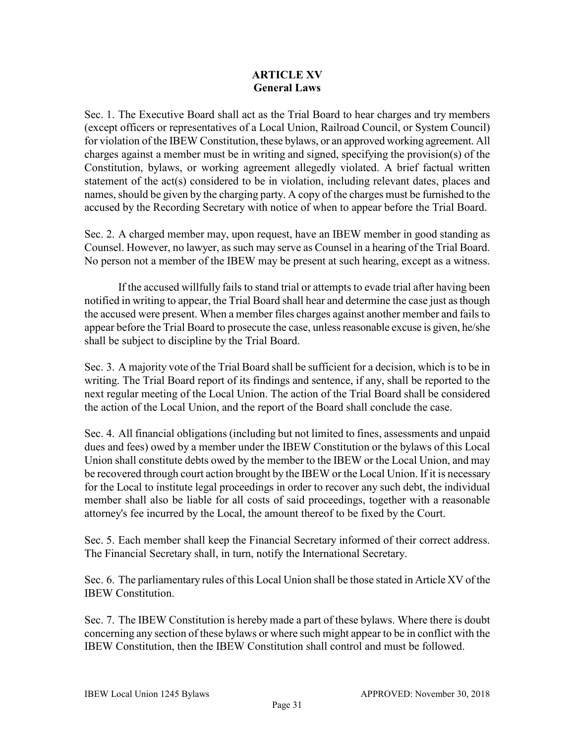## **ARTICLE XV General Laws**

Sec. 1. The Executive Board shall act as the Trial Board to hear charges and try members (except officers or representatives of a Local Union, Railroad Council, or System Council) for violation of the IBEW Constitution, these bylaws, or an approved working agreement. All charges against a member must be in writing and signed, specifying the provision(s) of the Constitution, bylaws, or working agreement allegedly violated. A brief factual written statement of the act(s) considered to be in violation, including relevant dates, places and names, should be given by the charging party. A copy of the charges must be furnished to the accused by the Recording Secretary with notice of when to appear before the Trial Board.

Sec. 2. A charged member may, upon request, have an IBEW member in good standing as Counsel. However, no lawyer, as such may serve as Counsel in a hearing of the Trial Board. No person not a member of the IBEW may be present at such hearing, except as a witness.

If the accused willfully fails to stand trial or attempts to evade trial after having been notified in writing to appear, the Trial Board shall hear and determine the case just as though the accused were present. When a member files charges against another member and fails to appear before the Trial Board to prosecute the case, unless reasonable excuse is given, he/she shall be subject to discipline by the Trial Board.

Sec. 3. A majority vote of the Trial Board shall be sufficient for a decision, which is to be in writing. The Trial Board report of its findings and sentence, if any, shall be reported to the next regular meeting of the Local Union. The action of the Trial Board shall be considered the action of the Local Union, and the report of the Board shall conclude the case.

Sec. 4. All financial obligations (including but not limited to fines, assessments and unpaid dues and fees) owed by a member under the IBEW Constitution or the bylaws of this Local Union shall constitute debts owed by the member to the IBEW or the Local Union, and may be recovered through court action brought by the IBEW or the Local Union. If it is necessary for the Local to institute legal proceedings in order to recover any such debt, the individual member shall also be liable for all costs of said proceedings, together with a reasonable attorney's fee incurred by the Local, the amount thereof to be fixed by the Court.

Sec. 5. Each member shall keep the Financial Secretary informed of their correct address. The Financial Secretary shall, in turn, notify the International Secretary.

Sec. 6. The parliamentary rules of this Local Union shall be those stated in Article XV of the IBEW Constitution.

Sec. 7. The IBEW Constitution is hereby made a part of these bylaws. Where there is doubt concerning any section of these bylaws or where such might appear to be in conflict with the IBEW Constitution, then the IBEW Constitution shall control and must be followed.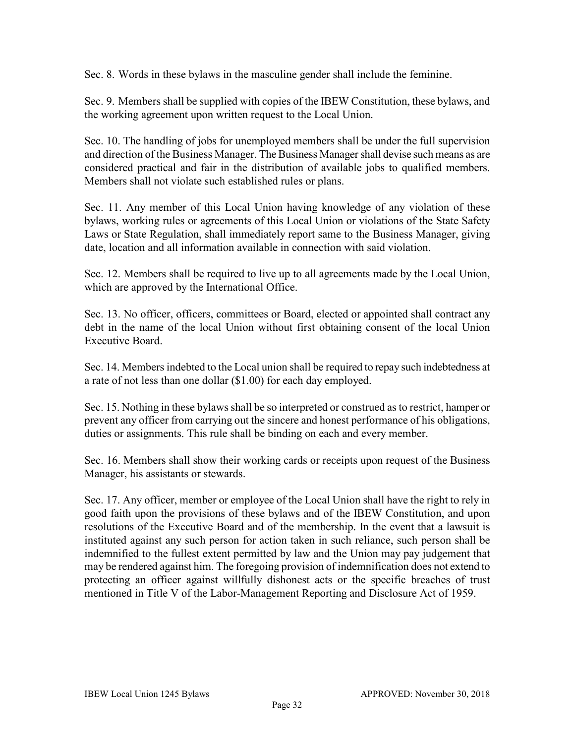Sec. 8. Words in these bylaws in the masculine gender shall include the feminine.

Sec. 9. Members shall be supplied with copies of the IBEW Constitution, these bylaws, and the working agreement upon written request to the Local Union.

Sec. 10. The handling of jobs for unemployed members shall be under the full supervision and direction of the Business Manager. The Business Manager shall devise such means as are considered practical and fair in the distribution of available jobs to qualified members. Members shall not violate such established rules or plans.

Sec. 11. Any member of this Local Union having knowledge of any violation of these bylaws, working rules or agreements of this Local Union or violations of the State Safety Laws or State Regulation, shall immediately report same to the Business Manager, giving date, location and all information available in connection with said violation.

Sec. 12. Members shall be required to live up to all agreements made by the Local Union, which are approved by the International Office.

Sec. 13. No officer, officers, committees or Board, elected or appointed shall contract any debt in the name of the local Union without first obtaining consent of the local Union Executive Board.

Sec. 14. Members indebted to the Local union shall be required to repay such indebtedness at a rate of not less than one dollar (\$1.00) for each day employed.

Sec. 15. Nothing in these by laws shall be so interpreted or construed as to restrict, hamper or prevent any officer from carrying out the sincere and honest performance of his obligations, duties or assignments. This rule shall be binding on each and every member.

Sec. 16. Members shall show their working cards or receipts upon request of the Business Manager, his assistants or stewards.

Sec. 17. Any officer, member or employee of the Local Union shall have the right to rely in good faith upon the provisions of these bylaws and of the IBEW Constitution, and upon resolutions of the Executive Board and of the membership. In the event that a lawsuit is instituted against any such person for action taken in such reliance, such person shall be indemnified to the fullest extent permitted by law and the Union may pay judgement that may be rendered against him. The foregoing provision of indemnification does not extend to protecting an officer against willfully dishonest acts or the specific breaches of trust mentioned in Title V of the Labor-Management Reporting and Disclosure Act of 1959.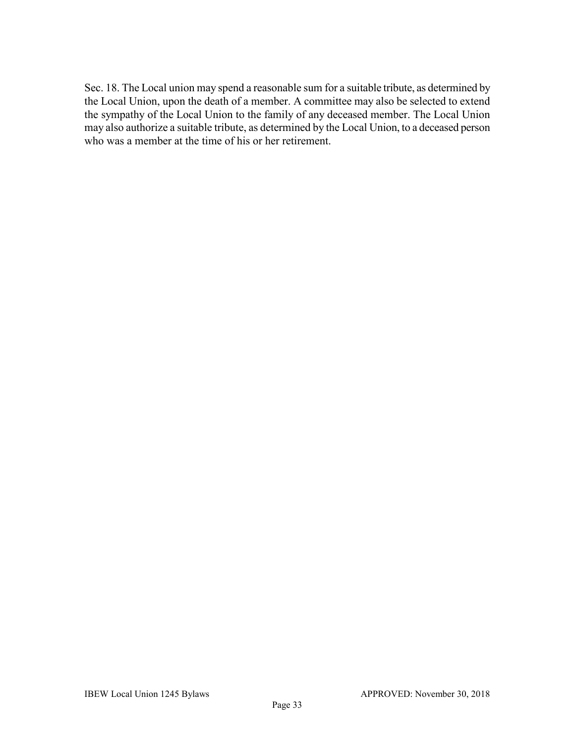Sec. 18. The Local union may spend a reasonable sum for a suitable tribute, as determined by the Local Union, upon the death of a member. A committee may also be selected to extend the sympathy of the Local Union to the family of any deceased member. The Local Union may also authorize a suitable tribute, as determined by the Local Union, to a deceased person who was a member at the time of his or her retirement.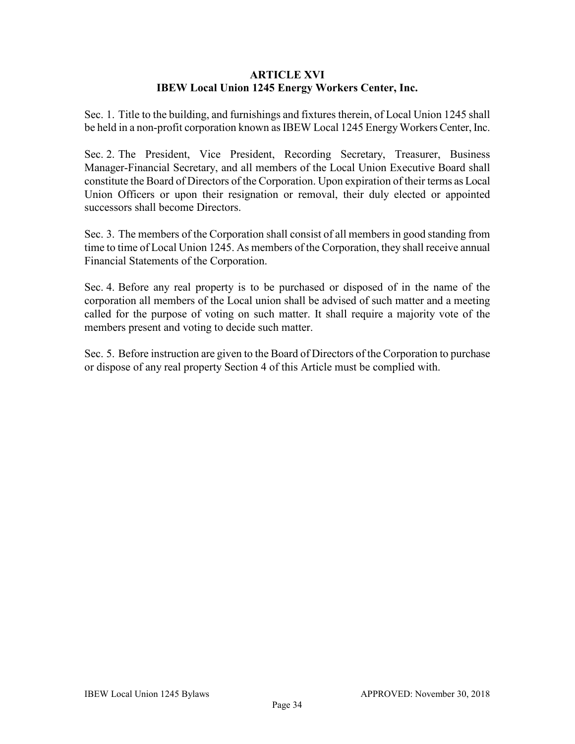### **ARTICLE XVI IBEW Local Union 1245 Energy Workers Center, Inc.**

Sec. 1. Title to the building, and furnishings and fixtures therein, of Local Union 1245 shall be held in a non-profit corporation known as IBEW Local 1245 Energy Workers Center, Inc.

Sec. 2. The President, Vice President, Recording Secretary, Treasurer, Business Manager-Financial Secretary, and all members of the Local Union Executive Board shall constitute the Board of Directors of the Corporation. Upon expiration of their terms as Local Union Officers or upon their resignation or removal, their duly elected or appointed successors shall become Directors.

Sec. 3. The members of the Corporation shall consist of all members in good standing from time to time of Local Union 1245. As members of the Corporation, they shall receive annual Financial Statements of the Corporation.

Sec. 4. Before any real property is to be purchased or disposed of in the name of the corporation all members of the Local union shall be advised of such matter and a meeting called for the purpose of voting on such matter. It shall require a majority vote of the members present and voting to decide such matter.

Sec. 5. Before instruction are given to the Board of Directors of the Corporation to purchase or dispose of any real property Section 4 of this Article must be complied with.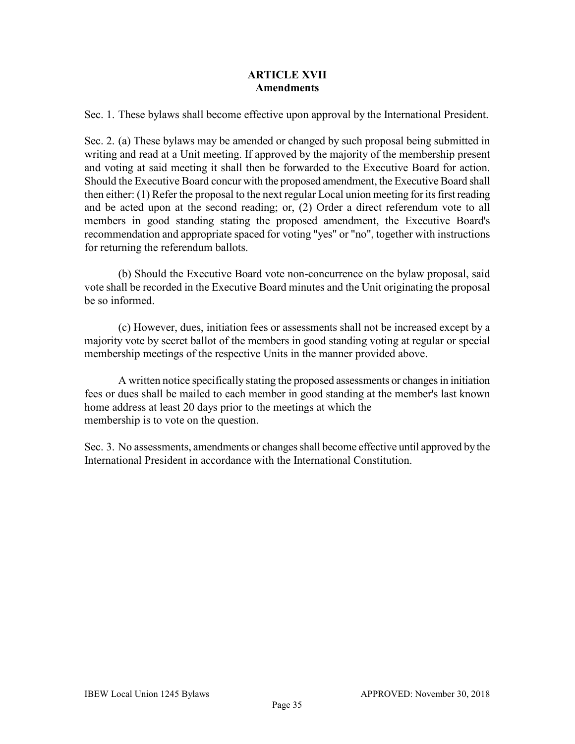### **ARTICLE XVII Amendments**

Sec. 1. These bylaws shall become effective upon approval by the International President.

Sec. 2. (a) These bylaws may be amended or changed by such proposal being submitted in writing and read at a Unit meeting. If approved by the majority of the membership present and voting at said meeting it shall then be forwarded to the Executive Board for action. Should the Executive Board concur with the proposed amendment, the Executive Board shall then either: (1) Refer the proposal to the next regular Local union meeting for its first reading and be acted upon at the second reading; or, (2) Order a direct referendum vote to all members in good standing stating the proposed amendment, the Executive Board's recommendation and appropriate spaced for voting "yes" or "no", together with instructions for returning the referendum ballots.

(b) Should the Executive Board vote non-concurrence on the bylaw proposal, said vote shall be recorded in the Executive Board minutes and the Unit originating the proposal be so informed.

(c) However, dues, initiation fees or assessments shall not be increased except by a majority vote by secret ballot of the members in good standing voting at regular or special membership meetings of the respective Units in the manner provided above.

A written notice specifically stating the proposed assessments or changes in initiation fees or dues shall be mailed to each member in good standing at the member's last known home address at least 20 days prior to the meetings at which the membership is to vote on the question.

Sec. 3. No assessments, amendments or changesshall become effective until approved by the International President in accordance with the International Constitution.